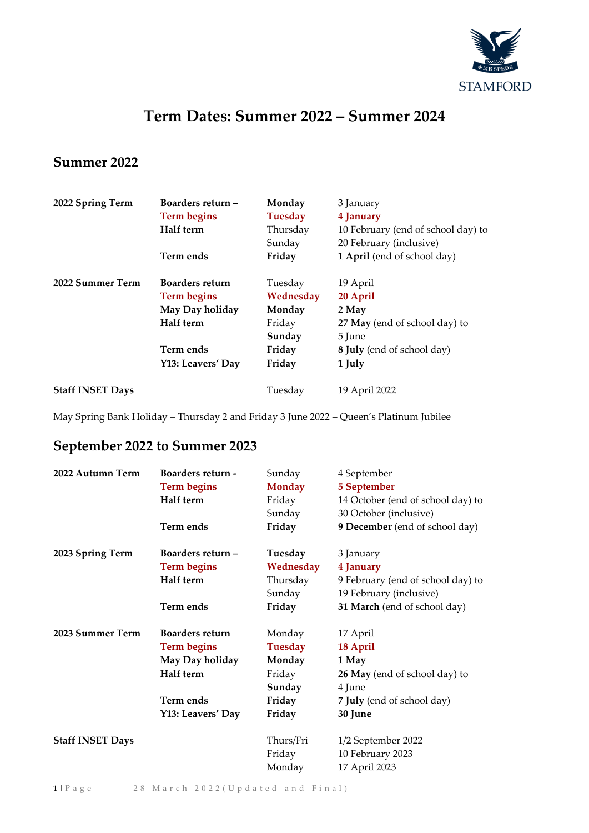

## **Term Dates: Summer 2022 – Summer 2024**

## **Summer 2022**

| 2022 Spring Term        | Boarders return -<br><b>Term begins</b><br>Half term                                                           | Monday<br><b>Tuesday</b><br>Thursday<br>Sunday                         | 3 January<br>4 January<br>10 February (end of school day) to<br>20 February (inclusive)                          |
|-------------------------|----------------------------------------------------------------------------------------------------------------|------------------------------------------------------------------------|------------------------------------------------------------------------------------------------------------------|
|                         | Term ends                                                                                                      | Friday                                                                 | 1 April (end of school day)                                                                                      |
| 2022 Summer Term        | <b>Boarders return</b><br><b>Term begins</b><br>May Day holiday<br>Half term<br>Term ends<br>Y13: Leavers' Day | Tuesday<br>Wednesday<br>Monday<br>Friday<br>Sunday<br>Friday<br>Friday | 19 April<br>20 April<br>2 May<br>27 May (end of school day) to<br>5 June<br>8 July (end of school day)<br>1 July |
| <b>Staff INSET Days</b> |                                                                                                                | Tuesday                                                                | 19 April 2022                                                                                                    |

May Spring Bank Holiday – Thursday 2 and Friday 3 June 2022 – Queen's Platinum Jubilee

## **September 2022 to Summer 2023**

| 2022 Autumn Term        | <b>Boarders return -</b> | Sunday         | 4 September                       |
|-------------------------|--------------------------|----------------|-----------------------------------|
|                         | <b>Term begins</b>       | <b>Monday</b>  | 5 September                       |
|                         | Half term                | Friday         | 14 October (end of school day) to |
|                         |                          | Sunday         | 30 October (inclusive)            |
|                         | Term ends                | Friday         | 9 December (end of school day)    |
| 2023 Spring Term        | Boarders return -        | Tuesday        | 3 January                         |
|                         | <b>Term begins</b>       | Wednesday      | 4 January                         |
|                         | Half term                | Thursday       | 9 February (end of school day) to |
|                         |                          | Sunday         | 19 February (inclusive)           |
|                         | Term ends                | Friday         | 31 March (end of school day)      |
| 2023 Summer Term        | <b>Boarders return</b>   | Monday         | 17 April                          |
|                         | <b>Term begins</b>       | <b>Tuesday</b> | 18 April                          |
|                         | May Day holiday          | Monday         | 1 May                             |
|                         | Half term                | Friday         | 26 May (end of school day) to     |
|                         |                          | Sunday         | 4 June                            |
|                         | Term ends                | Friday         | 7 July (end of school day)        |
|                         | Y13: Leavers' Day        | Friday         | 30 June                           |
| <b>Staff INSET Days</b> |                          | Thurs/Fri      | 1/2 September 2022                |
|                         |                          | Friday         | 10 February 2023                  |
|                         |                          | Monday         | 17 April 2023                     |